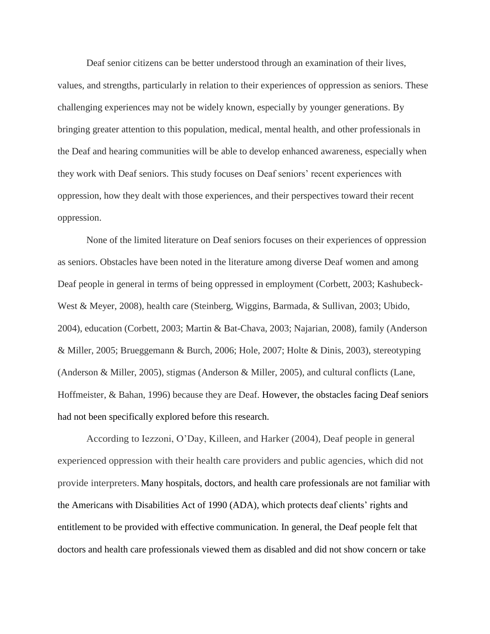Deaf senior citizens can be better understood through an examination of their lives, values, and strengths, particularly in relation to their experiences of oppression as seniors. These challenging experiences may not be widely known, especially by younger generations. By bringing greater attention to this population, medical, mental health, and other professionals in the Deaf and hearing communities will be able to develop enhanced awareness, especially when they work with Deaf seniors. This study focuses on Deaf seniors' recent experiences with oppression, how they dealt with those experiences, and their perspectives toward their recent oppression.

None of the limited literature on Deaf seniors focuses on their experiences of oppression as seniors. Obstacles have been noted in the literature among diverse Deaf women and among Deaf people in general in terms of being oppressed in employment (Corbett, 2003; Kashubeck-West & Meyer, 2008), health care (Steinberg, Wiggins, Barmada, & Sullivan, 2003; Ubido, 2004), education (Corbett, 2003; Martin & Bat-Chava, 2003; Najarian, 2008), family (Anderson & Miller, 2005; Brueggemann & Burch, 2006; Hole, 2007; Holte & Dinis, 2003), stereotyping (Anderson & Miller, 2005), stigmas (Anderson & Miller, 2005), and cultural conflicts (Lane, Hoffmeister, & Bahan, 1996) because they are Deaf. However, the obstacles facing Deaf seniors had not been specifically explored before this research.

According to Iezzoni, O'Day, Killeen, and Harker (2004), Deaf people in general experienced oppression with their health care providers and public agencies, which did not provide interpreters. Many hospitals, doctors, and health care professionals are not familiar with the Americans with Disabilities Act of 1990 (ADA), which protects deaf clients' rights and entitlement to be provided with effective communication. In general, the Deaf people felt that doctors and health care professionals viewed them as disabled and did not show concern or take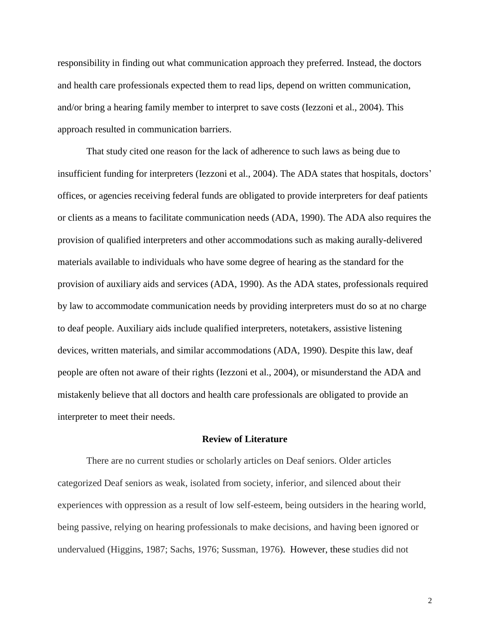responsibility in finding out what communication approach they preferred. Instead, the doctors and health care professionals expected them to read lips, depend on written communication, and/or bring a hearing family member to interpret to save costs (Iezzoni et al., 2004). This approach resulted in communication barriers.

That study cited one reason for the lack of adherence to such laws as being due to insufficient funding for interpreters (Iezzoni et al., 2004). The ADA states that hospitals, doctors' offices, or agencies receiving federal funds are obligated to provide interpreters for deaf patients or clients as a means to facilitate communication needs (ADA, 1990). The ADA also requires the provision of qualified interpreters and other accommodations such as making aurally-delivered materials available to individuals who have some degree of hearing as the standard for the provision of auxiliary aids and services (ADA, 1990). As the ADA states, professionals required by law to accommodate communication needs by providing interpreters must do so at no charge to deaf people. Auxiliary aids include qualified interpreters, notetakers, assistive listening devices, written materials, and similar accommodations (ADA, 1990). Despite this law, deaf people are often not aware of their rights (Iezzoni et al., 2004), or misunderstand the ADA and mistakenly believe that all doctors and health care professionals are obligated to provide an interpreter to meet their needs.

#### **Review of Literature**

There are no current studies or scholarly articles on Deaf seniors. Older articles categorized Deaf seniors as weak, isolated from society, inferior, and silenced about their experiences with oppression as a result of low self-esteem, being outsiders in the hearing world, being passive, relying on hearing professionals to make decisions, and having been ignored or undervalued (Higgins, 1987; Sachs, 1976; Sussman, 1976). However, these studies did not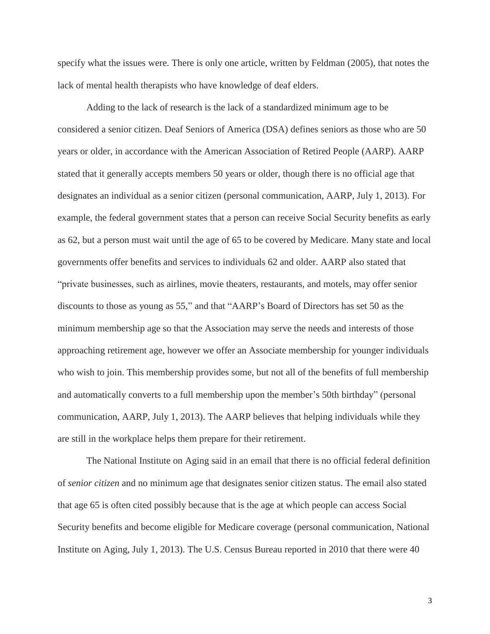specify what the issues were. There is only one article, written by Feldman (2005), that notes the lack of mental health therapists who have knowledge of deaf elders.

Adding to the lack of research is the lack of a standardized minimum age to be considered a senior citizen. Deaf Seniors of America (DSA) defines seniors as those who are 50 years or older, in accordance with the American Association of Retired People (AARP). AARP stated that it generally accepts members 50 years or older, though there is no official age that designates an individual as a senior citizen (personal communication, AARP, July 1, 2013). For example, the federal government states that a person can receive Social Security benefits as early as 62, but a person must wait until the age of 65 to be covered by Medicare. Many state and local governments offer benefits and services to individuals 62 and older. AARP also stated that "private businesses, such as airlines, movie theaters, restaurants, and motels, may offer senior discounts to those as young as 55," and that "AARP's Board of Directors has set 50 as the minimum membership age so that the Association may serve the needs and interests of those approaching retirement age, however we offer an Associate membership for younger individuals who wish to join. This membership provides some, but not all of the benefits of full membership and automatically converts to a full membership upon the member's 50th birthday" (personal communication, AARP, July 1, 2013). The AARP believes that helping individuals while they are still in the workplace helps them prepare for their retirement.

The National Institute on Aging said in an email that there is no official federal definition of *senior citizen* and no minimum age that designates senior citizen status. The email also stated that age 65 is often cited possibly because that is the age at which people can access Social Security benefits and become eligible for Medicare coverage (personal communication, National Institute on Aging, July 1, 2013). The U.S. Census Bureau reported in 2010 that there were 40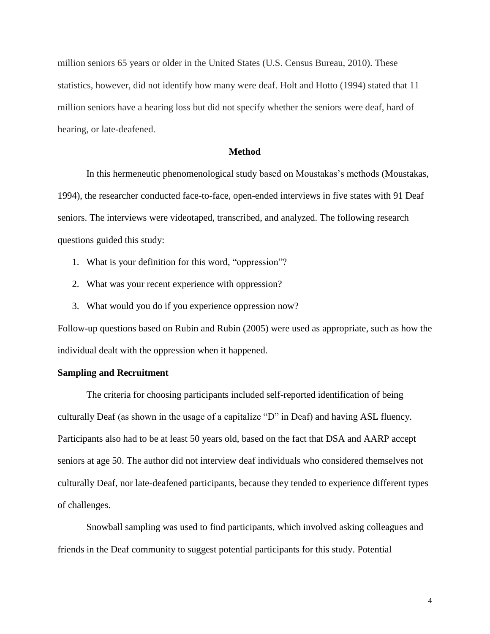million seniors 65 years or older in the United States (U.S. Census Bureau, 2010). These statistics, however, did not identify how many were deaf. Holt and Hotto (1994) stated that 11 million seniors have a hearing loss but did not specify whether the seniors were deaf, hard of hearing, or late-deafened.

### **Method**

In this hermeneutic phenomenological study based on Moustakas's methods (Moustakas, 1994), the researcher conducted face-to-face, open-ended interviews in five states with 91 Deaf seniors. The interviews were videotaped, transcribed, and analyzed. The following research questions guided this study:

- 1. What is your definition for this word, "oppression"?
- 2. What was your recent experience with oppression?
- 3. What would you do if you experience oppression now?

Follow-up questions based on Rubin and Rubin (2005) were used as appropriate, such as how the individual dealt with the oppression when it happened.

#### **Sampling and Recruitment**

The criteria for choosing participants included self-reported identification of being culturally Deaf (as shown in the usage of a capitalize "D" in Deaf) and having ASL fluency. Participants also had to be at least 50 years old, based on the fact that DSA and AARP accept seniors at age 50. The author did not interview deaf individuals who considered themselves not culturally Deaf, nor late-deafened participants, because they tended to experience different types of challenges.

Snowball sampling was used to find participants, which involved asking colleagues and friends in the Deaf community to suggest potential participants for this study. Potential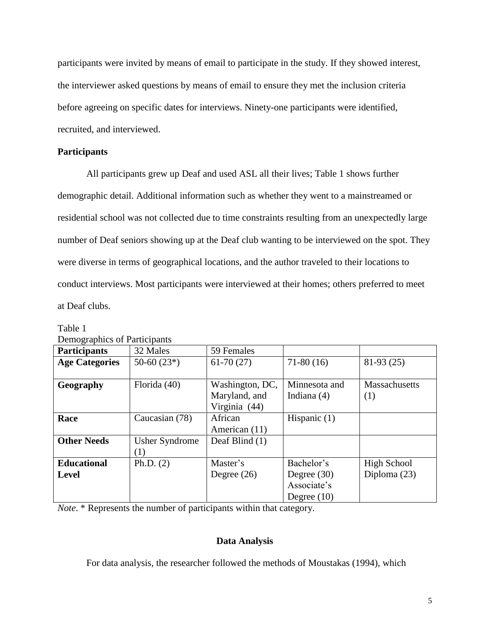participants were invited by means of email to participate in the study. If they showed interest, the interviewer asked questions by means of email to ensure they met the inclusion criteria before agreeing on specific dates for interviews. Ninety-one participants were identified, recruited, and interviewed.

## **Participants**

All participants grew up Deaf and used ASL all their lives; Table 1 shows further demographic detail. Additional information such as whether they went to a mainstreamed or residential school was not collected due to time constraints resulting from an unexpectedly large number of Deaf seniors showing up at the Deaf club wanting to be interviewed on the spot. They were diverse in terms of geographical locations, and the author traveled to their locations to conduct interviews. Most participants were interviewed at their homes; others preferred to meet at Deaf clubs.

| Demographics of Participants |                       |                 |                |                      |
|------------------------------|-----------------------|-----------------|----------------|----------------------|
| <b>Participants</b>          | 32 Males              | 59 Females      |                |                      |
| <b>Age Categories</b>        | $50-60(23*)$          | $61-70(27)$     | $71-80(16)$    | $81-93(25)$          |
|                              |                       |                 |                |                      |
| Geography                    | Florida (40)          | Washington, DC, | Minnesota and  | <b>Massachusetts</b> |
|                              |                       | Maryland, and   | Indiana $(4)$  | (1)                  |
|                              |                       | Virginia (44)   |                |                      |
| Race                         | Caucasian (78)        | African         | Hispanic $(1)$ |                      |
|                              |                       | American (11)   |                |                      |
| <b>Other Needs</b>           | <b>Usher Syndrome</b> | Deaf Blind (1)  |                |                      |
|                              | (1)                   |                 |                |                      |
| <b>Educational</b>           | Ph.D. $(2)$           | Master's        | Bachelor's     | High School          |
| <b>Level</b>                 |                       | Degree $(26)$   | Degree $(30)$  | Diploma $(23)$       |
|                              |                       |                 | Associate's    |                      |
|                              |                       |                 | Degree $(10)$  |                      |

Table 1 Demographics of Participants

*Note*. \* Represents the number of participants within that category.

# **Data Analysis**

For data analysis, the researcher followed the methods of Moustakas (1994), which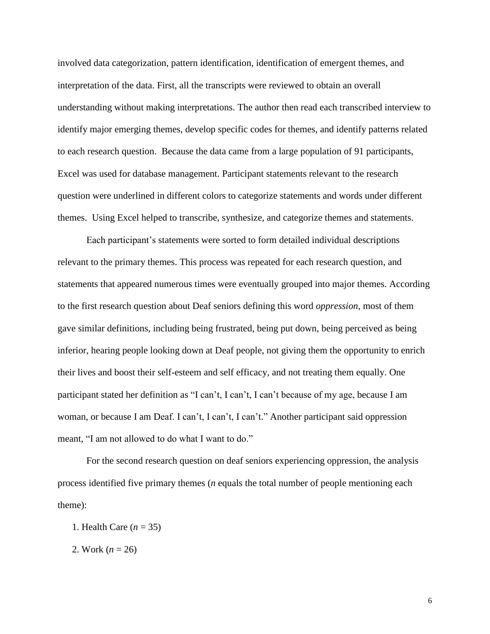involved data categorization, pattern identification, identification of emergent themes, and interpretation of the data. First, all the transcripts were reviewed to obtain an overall understanding without making interpretations. The author then read each transcribed interview to identify major emerging themes, develop specific codes for themes, and identify patterns related to each research question. Because the data came from a large population of 91 participants, Excel was used for database management. Participant statements relevant to the research question were underlined in different colors to categorize statements and words under different themes. Using Excel helped to transcribe, synthesize, and categorize themes and statements.

Each participant's statements were sorted to form detailed individual descriptions relevant to the primary themes. This process was repeated for each research question, and statements that appeared numerous times were eventually grouped into major themes. According to the first research question about Deaf seniors defining this word *oppression*, most of them gave similar definitions, including being frustrated, being put down, being perceived as being inferior, hearing people looking down at Deaf people, not giving them the opportunity to enrich their lives and boost their self-esteem and self efficacy, and not treating them equally. One participant stated her definition as "I can't, I can't, I can't because of my age, because I am woman, or because I am Deaf. I can't, I can't, I can't." Another participant said oppression meant, "I am not allowed to do what I want to do."

For the second research question on deaf seniors experiencing oppression, the analysis process identified five primary themes (*n* equals the total number of people mentioning each theme):

- 1. Health Care (*n* = 35)
- 2. Work (*n* = 26)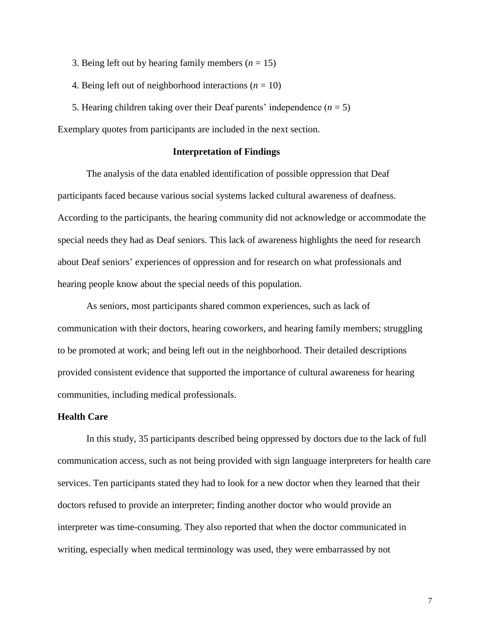- 3. Being left out by hearing family members  $(n = 15)$
- 4. Being left out of neighborhood interactions  $(n = 10)$
- 5. Hearing children taking over their Deaf parents' independence  $(n = 5)$

Exemplary quotes from participants are included in the next section.

## **Interpretation of Findings**

The analysis of the data enabled identification of possible oppression that Deaf participants faced because various social systems lacked cultural awareness of deafness. According to the participants, the hearing community did not acknowledge or accommodate the special needs they had as Deaf seniors. This lack of awareness highlights the need for research about Deaf seniors' experiences of oppression and for research on what professionals and hearing people know about the special needs of this population.

As seniors, most participants shared common experiences, such as lack of communication with their doctors, hearing coworkers, and hearing family members; struggling to be promoted at work; and being left out in the neighborhood. Their detailed descriptions provided consistent evidence that supported the importance of cultural awareness for hearing communities, including medical professionals.

## **Health Care**

In this study, 35 participants described being oppressed by doctors due to the lack of full communication access, such as not being provided with sign language interpreters for health care services. Ten participants stated they had to look for a new doctor when they learned that their doctors refused to provide an interpreter; finding another doctor who would provide an interpreter was time-consuming. They also reported that when the doctor communicated in writing, especially when medical terminology was used, they were embarrassed by not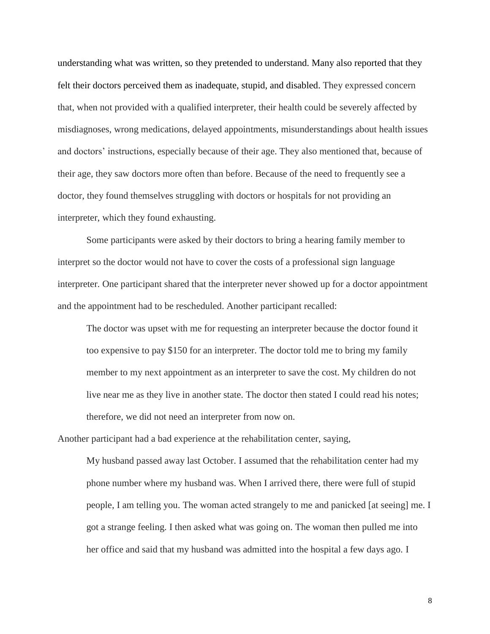understanding what was written, so they pretended to understand. Many also reported that they felt their doctors perceived them as inadequate, stupid, and disabled. They expressed concern that, when not provided with a qualified interpreter, their health could be severely affected by misdiagnoses, wrong medications, delayed appointments, misunderstandings about health issues and doctors' instructions, especially because of their age. They also mentioned that, because of their age, they saw doctors more often than before. Because of the need to frequently see a doctor, they found themselves struggling with doctors or hospitals for not providing an interpreter, which they found exhausting.

Some participants were asked by their doctors to bring a hearing family member to interpret so the doctor would not have to cover the costs of a professional sign language interpreter. One participant shared that the interpreter never showed up for a doctor appointment and the appointment had to be rescheduled. Another participant recalled:

The doctor was upset with me for requesting an interpreter because the doctor found it too expensive to pay \$150 for an interpreter. The doctor told me to bring my family member to my next appointment as an interpreter to save the cost. My children do not live near me as they live in another state. The doctor then stated I could read his notes; therefore, we did not need an interpreter from now on.

Another participant had a bad experience at the rehabilitation center, saying,

My husband passed away last October. I assumed that the rehabilitation center had my phone number where my husband was. When I arrived there, there were full of stupid people, I am telling you. The woman acted strangely to me and panicked [at seeing] me. I got a strange feeling. I then asked what was going on. The woman then pulled me into her office and said that my husband was admitted into the hospital a few days ago. I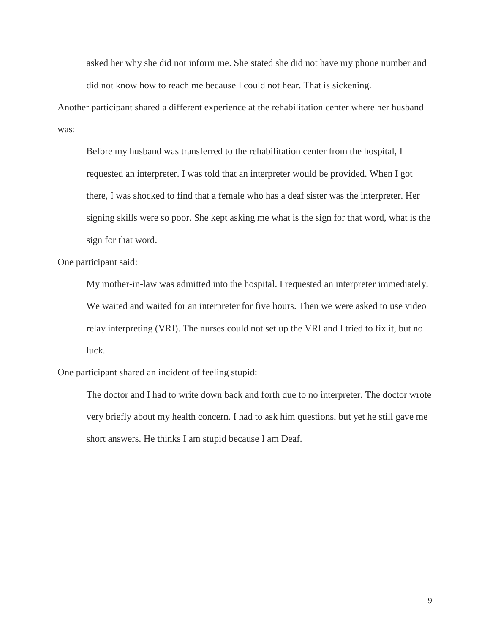asked her why she did not inform me. She stated she did not have my phone number and did not know how to reach me because I could not hear. That is sickening.

Another participant shared a different experience at the rehabilitation center where her husband was:

Before my husband was transferred to the rehabilitation center from the hospital, I requested an interpreter. I was told that an interpreter would be provided. When I got there, I was shocked to find that a female who has a deaf sister was the interpreter. Her signing skills were so poor. She kept asking me what is the sign for that word, what is the sign for that word.

One participant said:

My mother-in-law was admitted into the hospital. I requested an interpreter immediately. We waited and waited for an interpreter for five hours. Then we were asked to use video relay interpreting (VRI). The nurses could not set up the VRI and I tried to fix it, but no luck.

One participant shared an incident of feeling stupid:

The doctor and I had to write down back and forth due to no interpreter. The doctor wrote very briefly about my health concern. I had to ask him questions, but yet he still gave me short answers. He thinks I am stupid because I am Deaf.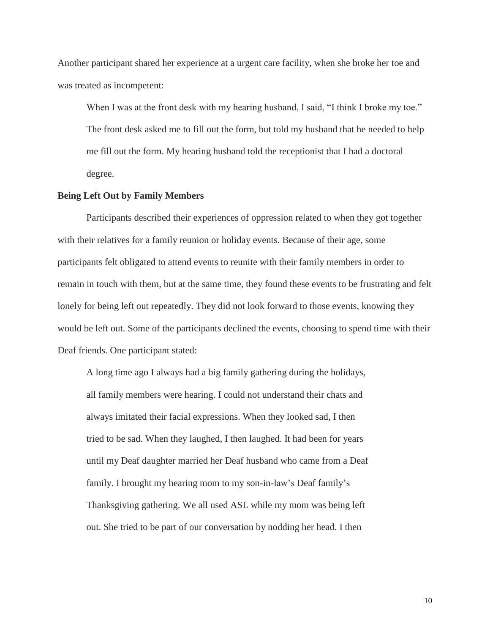Another participant shared her experience at a urgent care facility, when she broke her toe and was treated as incompetent:

When I was at the front desk with my hearing husband, I said, "I think I broke my toe." The front desk asked me to fill out the form, but told my husband that he needed to help me fill out the form. My hearing husband told the receptionist that I had a doctoral degree.

## **Being Left Out by Family Members**

Participants described their experiences of oppression related to when they got together with their relatives for a family reunion or holiday events. Because of their age, some participants felt obligated to attend events to reunite with their family members in order to remain in touch with them, but at the same time, they found these events to be frustrating and felt lonely for being left out repeatedly. They did not look forward to those events, knowing they would be left out. Some of the participants declined the events, choosing to spend time with their Deaf friends. One participant stated:

A long time ago I always had a big family gathering during the holidays, all family members were hearing. I could not understand their chats and always imitated their facial expressions. When they looked sad, I then tried to be sad. When they laughed, I then laughed. It had been for years until my Deaf daughter married her Deaf husband who came from a Deaf family. I brought my hearing mom to my son-in-law's Deaf family's Thanksgiving gathering. We all used ASL while my mom was being left out. She tried to be part of our conversation by nodding her head. I then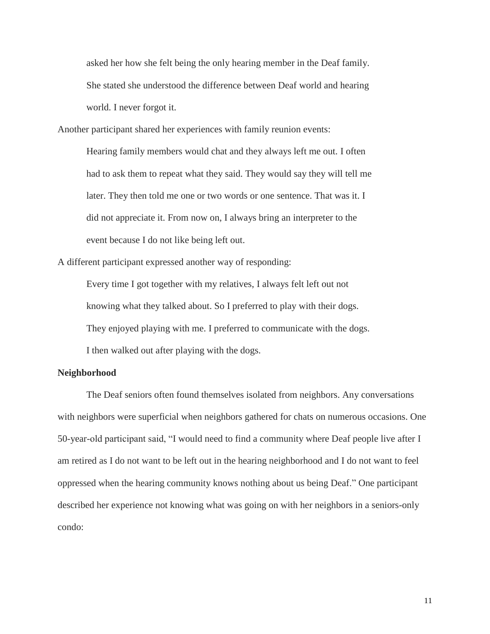asked her how she felt being the only hearing member in the Deaf family. She stated she understood the difference between Deaf world and hearing world. I never forgot it.

Another participant shared her experiences with family reunion events:

Hearing family members would chat and they always left me out. I often had to ask them to repeat what they said. They would say they will tell me later. They then told me one or two words or one sentence. That was it. I did not appreciate it. From now on, I always bring an interpreter to the event because I do not like being left out.

A different participant expressed another way of responding:

Every time I got together with my relatives, I always felt left out not knowing what they talked about. So I preferred to play with their dogs. They enjoyed playing with me. I preferred to communicate with the dogs. I then walked out after playing with the dogs.

## **Neighborhood**

The Deaf seniors often found themselves isolated from neighbors. Any conversations with neighbors were superficial when neighbors gathered for chats on numerous occasions. One 50-year-old participant said, "I would need to find a community where Deaf people live after I am retired as I do not want to be left out in the hearing neighborhood and I do not want to feel oppressed when the hearing community knows nothing about us being Deaf." One participant described her experience not knowing what was going on with her neighbors in a seniors-only condo: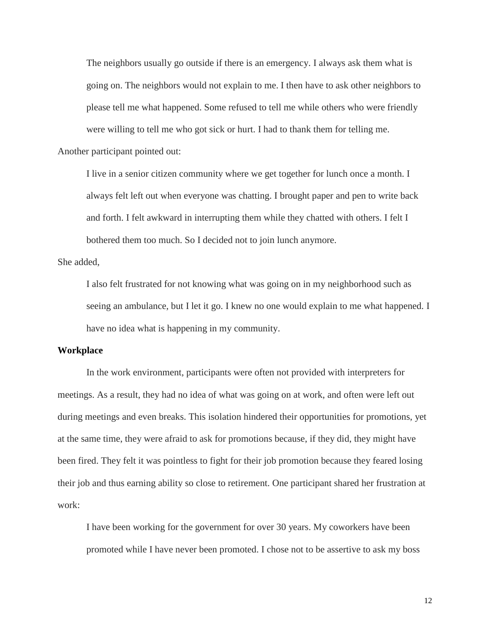The neighbors usually go outside if there is an emergency. I always ask them what is going on. The neighbors would not explain to me. I then have to ask other neighbors to please tell me what happened. Some refused to tell me while others who were friendly were willing to tell me who got sick or hurt. I had to thank them for telling me.

Another participant pointed out:

I live in a senior citizen community where we get together for lunch once a month. I always felt left out when everyone was chatting. I brought paper and pen to write back and forth. I felt awkward in interrupting them while they chatted with others. I felt I bothered them too much. So I decided not to join lunch anymore.

She added,

I also felt frustrated for not knowing what was going on in my neighborhood such as seeing an ambulance, but I let it go. I knew no one would explain to me what happened. I have no idea what is happening in my community.

## **Workplace**

In the work environment, participants were often not provided with interpreters for meetings. As a result, they had no idea of what was going on at work, and often were left out during meetings and even breaks. This isolation hindered their opportunities for promotions, yet at the same time, they were afraid to ask for promotions because, if they did, they might have been fired. They felt it was pointless to fight for their job promotion because they feared losing their job and thus earning ability so close to retirement. One participant shared her frustration at work:

I have been working for the government for over 30 years. My coworkers have been promoted while I have never been promoted. I chose not to be assertive to ask my boss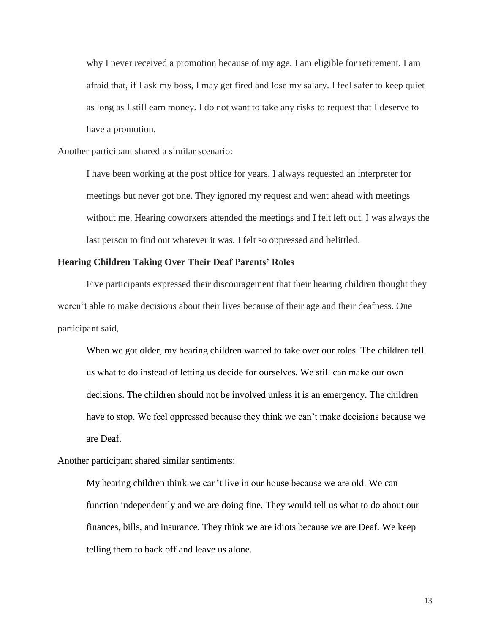why I never received a promotion because of my age. I am eligible for retirement. I am afraid that, if I ask my boss, I may get fired and lose my salary. I feel safer to keep quiet as long as I still earn money. I do not want to take any risks to request that I deserve to have a promotion.

Another participant shared a similar scenario:

I have been working at the post office for years. I always requested an interpreter for meetings but never got one. They ignored my request and went ahead with meetings without me. Hearing coworkers attended the meetings and I felt left out. I was always the last person to find out whatever it was. I felt so oppressed and belittled.

## **Hearing Children Taking Over Their Deaf Parents' Roles**

Five participants expressed their discouragement that their hearing children thought they weren't able to make decisions about their lives because of their age and their deafness. One participant said,

When we got older, my hearing children wanted to take over our roles. The children tell us what to do instead of letting us decide for ourselves. We still can make our own decisions. The children should not be involved unless it is an emergency. The children have to stop. We feel oppressed because they think we can't make decisions because we are Deaf.

Another participant shared similar sentiments:

My hearing children think we can't live in our house because we are old. We can function independently and we are doing fine. They would tell us what to do about our finances, bills, and insurance. They think we are idiots because we are Deaf. We keep telling them to back off and leave us alone.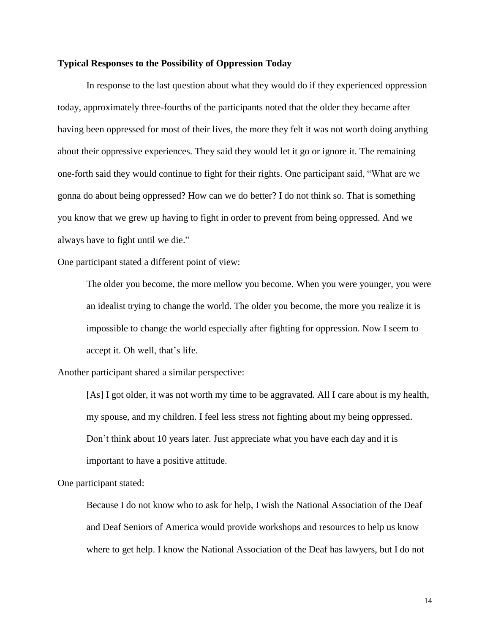## **Typical Responses to the Possibility of Oppression Today**

In response to the last question about what they would do if they experienced oppression today, approximately three-fourths of the participants noted that the older they became after having been oppressed for most of their lives, the more they felt it was not worth doing anything about their oppressive experiences. They said they would let it go or ignore it. The remaining one-forth said they would continue to fight for their rights. One participant said, "What are we gonna do about being oppressed? How can we do better? I do not think so. That is something you know that we grew up having to fight in order to prevent from being oppressed. And we always have to fight until we die."

One participant stated a different point of view:

The older you become, the more mellow you become. When you were younger, you were an idealist trying to change the world. The older you become, the more you realize it is impossible to change the world especially after fighting for oppression. Now I seem to accept it. Oh well, that's life.

Another participant shared a similar perspective:

[As] I got older, it was not worth my time to be aggravated. All I care about is my health, my spouse, and my children. I feel less stress not fighting about my being oppressed. Don't think about 10 years later. Just appreciate what you have each day and it is important to have a positive attitude.

One participant stated:

Because I do not know who to ask for help, I wish the National Association of the Deaf and Deaf Seniors of America would provide workshops and resources to help us know where to get help. I know the National Association of the Deaf has lawyers, but I do not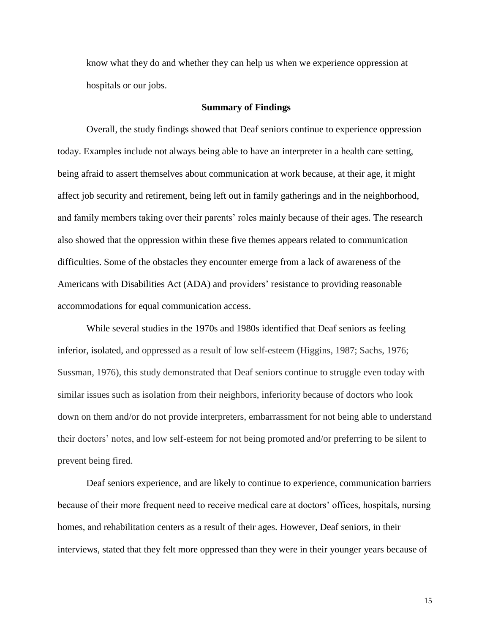know what they do and whether they can help us when we experience oppression at hospitals or our jobs.

#### **Summary of Findings**

Overall, the study findings showed that Deaf seniors continue to experience oppression today. Examples include not always being able to have an interpreter in a health care setting, being afraid to assert themselves about communication at work because, at their age, it might affect job security and retirement, being left out in family gatherings and in the neighborhood, and family members taking over their parents' roles mainly because of their ages. The research also showed that the oppression within these five themes appears related to communication difficulties. Some of the obstacles they encounter emerge from a lack of awareness of the Americans with Disabilities Act (ADA) and providers' resistance to providing reasonable accommodations for equal communication access.

While several studies in the 1970s and 1980s identified that Deaf seniors as feeling inferior, isolated, and oppressed as a result of low self-esteem (Higgins, 1987; Sachs, 1976; Sussman, 1976), this study demonstrated that Deaf seniors continue to struggle even today with similar issues such as isolation from their neighbors, inferiority because of doctors who look down on them and/or do not provide interpreters, embarrassment for not being able to understand their doctors' notes, and low self-esteem for not being promoted and/or preferring to be silent to prevent being fired.

Deaf seniors experience, and are likely to continue to experience, communication barriers because of their more frequent need to receive medical care at doctors' offices, hospitals, nursing homes, and rehabilitation centers as a result of their ages. However, Deaf seniors, in their interviews, stated that they felt more oppressed than they were in their younger years because of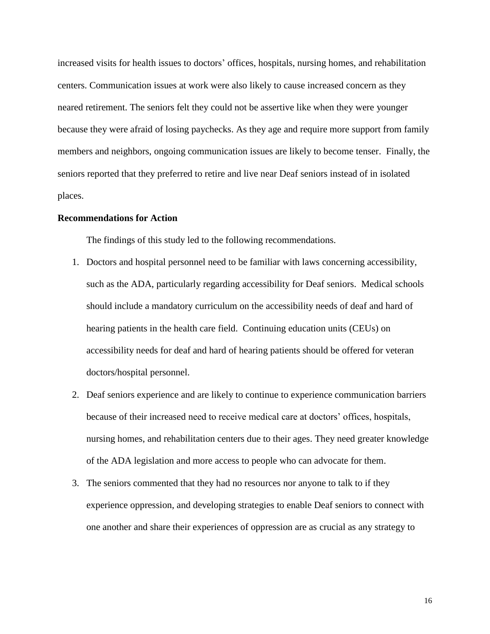increased visits for health issues to doctors' offices, hospitals, nursing homes, and rehabilitation centers. Communication issues at work were also likely to cause increased concern as they neared retirement. The seniors felt they could not be assertive like when they were younger because they were afraid of losing paychecks. As they age and require more support from family members and neighbors, ongoing communication issues are likely to become tenser. Finally, the seniors reported that they preferred to retire and live near Deaf seniors instead of in isolated places.

## **Recommendations for Action**

The findings of this study led to the following recommendations.

- 1. Doctors and hospital personnel need to be familiar with laws concerning accessibility, such as the ADA, particularly regarding accessibility for Deaf seniors. Medical schools should include a mandatory curriculum on the accessibility needs of deaf and hard of hearing patients in the health care field. Continuing education units (CEUs) on accessibility needs for deaf and hard of hearing patients should be offered for veteran doctors/hospital personnel.
- 2. Deaf seniors experience and are likely to continue to experience communication barriers because of their increased need to receive medical care at doctors' offices, hospitals, nursing homes, and rehabilitation centers due to their ages. They need greater knowledge of the ADA legislation and more access to people who can advocate for them.
- 3. The seniors commented that they had no resources nor anyone to talk to if they experience oppression, and developing strategies to enable Deaf seniors to connect with one another and share their experiences of oppression are as crucial as any strategy to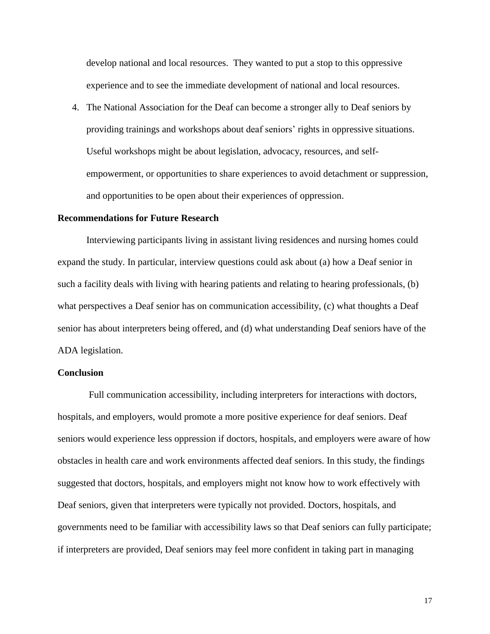develop national and local resources. They wanted to put a stop to this oppressive experience and to see the immediate development of national and local resources.

4. The National Association for the Deaf can become a stronger ally to Deaf seniors by providing trainings and workshops about deaf seniors' rights in oppressive situations. Useful workshops might be about legislation, advocacy, resources, and selfempowerment, or opportunities to share experiences to avoid detachment or suppression, and opportunities to be open about their experiences of oppression.

#### **Recommendations for Future Research**

Interviewing participants living in assistant living residences and nursing homes could expand the study. In particular, interview questions could ask about (a) how a Deaf senior in such a facility deals with living with hearing patients and relating to hearing professionals, (b) what perspectives a Deaf senior has on communication accessibility, (c) what thoughts a Deaf senior has about interpreters being offered, and (d) what understanding Deaf seniors have of the ADA legislation.

#### **Conclusion**

Full communication accessibility, including interpreters for interactions with doctors, hospitals, and employers, would promote a more positive experience for deaf seniors. Deaf seniors would experience less oppression if doctors, hospitals, and employers were aware of how obstacles in health care and work environments affected deaf seniors. In this study, the findings suggested that doctors, hospitals, and employers might not know how to work effectively with Deaf seniors, given that interpreters were typically not provided. Doctors, hospitals, and governments need to be familiar with accessibility laws so that Deaf seniors can fully participate; if interpreters are provided, Deaf seniors may feel more confident in taking part in managing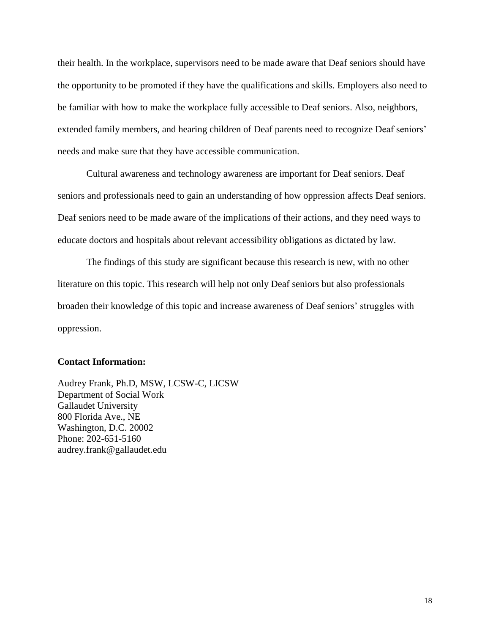their health. In the workplace, supervisors need to be made aware that Deaf seniors should have the opportunity to be promoted if they have the qualifications and skills. Employers also need to be familiar with how to make the workplace fully accessible to Deaf seniors. Also, neighbors, extended family members, and hearing children of Deaf parents need to recognize Deaf seniors' needs and make sure that they have accessible communication.

Cultural awareness and technology awareness are important for Deaf seniors. Deaf seniors and professionals need to gain an understanding of how oppression affects Deaf seniors. Deaf seniors need to be made aware of the implications of their actions, and they need ways to educate doctors and hospitals about relevant accessibility obligations as dictated by law.

The findings of this study are significant because this research is new, with no other literature on this topic. This research will help not only Deaf seniors but also professionals broaden their knowledge of this topic and increase awareness of Deaf seniors' struggles with oppression.

#### **Contact Information:**

Audrey Frank, Ph.D, MSW, LCSW-C, LICSW Department of Social Work Gallaudet University 800 Florida Ave., NE Washington, D.C. 20002 Phone: 202-651-5160 audrey.frank@gallaudet.edu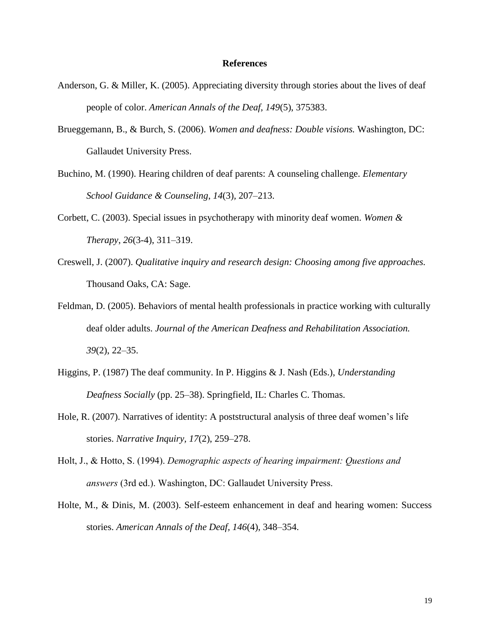#### **References**

- Anderson, G. & Miller, K. (2005). Appreciating diversity through stories about the lives of deaf people of color. *American Annals of the Deaf, 149*(5), 375383.
- Brueggemann, B., & Burch, S. (2006). *Women and deafness: Double visions.* Washington, DC: Gallaudet University Press.
- Buchino, M. (1990). Hearing children of deaf parents: A counseling challenge. *Elementary School Guidance & Counseling*, *14*(3)*,* 207–213.
- Corbett, C. (2003). Special issues in psychotherapy with minority deaf women. *Women & Therapy*, *26*(3-4), 311–319.
- Creswell, J. (2007). *Qualitative inquiry and research design: Choosing among five approaches.* Thousand Oaks, CA: Sage.
- Feldman, D. (2005). Behaviors of mental health professionals in practice working with culturally deaf older adults. *Journal of the American Deafness and Rehabilitation Association. 39*(2), 22–35.
- Higgins, P. (1987) The deaf community. In P. Higgins & J. Nash (Eds.), *Understanding Deafness Socially* (pp. 25–38). Springfield, IL: Charles C. Thomas.
- Hole, R. (2007). Narratives of identity: A poststructural analysis of three deaf women's life stories. *Narrative Inquiry, 17*(2), 259–278.
- Holt, J., & Hotto, S. (1994). *Demographic aspects of hearing impairment: Questions and answers* (3rd ed.). Washington, DC: Gallaudet University Press.
- Holte, M., & Dinis, M. (2003). Self-esteem enhancement in deaf and hearing women: Success stories. *American Annals of the Deaf, 146*(4), 348–354.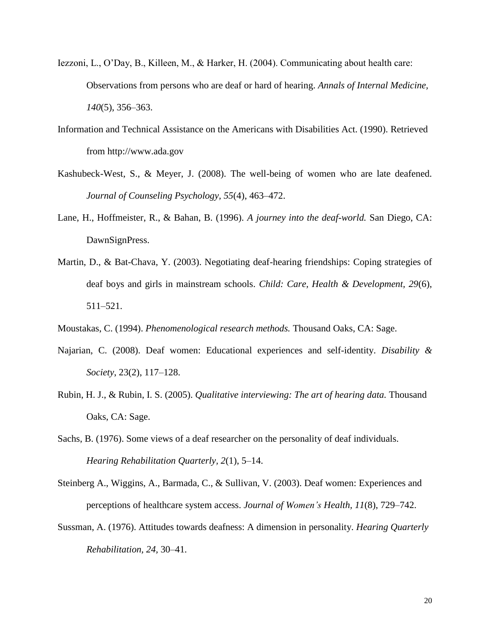- Iezzoni, L., O'Day, B., Killeen, M., & Harker, H. (2004). Communicating about health care: Observations from persons who are deaf or hard of hearing. *Annals of Internal Medicine, 140*(5), 356–363.
- Information and Technical Assistance on the Americans with Disabilities Act. (1990). Retrieved from http://www.ada.gov
- Kashubeck-West, S., & Meyer, J. (2008). The well-being of women who are late deafened. *Journal of Counseling Psychology, 55*(4), 463–472.
- Lane, H., Hoffmeister, R., & Bahan, B. (1996). *A journey into the deaf-world.* San Diego, CA: DawnSignPress.
- Martin, D., & Bat-Chava, Y. (2003). Negotiating deaf-hearing friendships: Coping strategies of deaf boys and girls in mainstream schools. *Child: Care, Health & Development, 29*(6), 511–521.
- Moustakas, C. (1994). *Phenomenological research methods.* Thousand Oaks, CA: Sage.
- Najarian, C. (2008). Deaf women: Educational experiences and self-identity. *Disability & Society*, 23(2), 117–128.
- Rubin, H. J., & Rubin, I. S. (2005). *Qualitative interviewing: The art of hearing data.* Thousand Oaks, CA: Sage.
- Sachs, B. (1976). Some views of a deaf researcher on the personality of deaf individuals. *Hearing Rehabilitation Quarterly, 2*(1), 5–14.
- Steinberg A., Wiggins, A., Barmada, C., & Sullivan, V. (2003). Deaf women: Experiences and perceptions of healthcare system access. *Journal of Women's Health, 11*(8), 729–742.
- Sussman, A. (1976). Attitudes towards deafness: A dimension in personality. *Hearing Quarterly Rehabilitation, 24,* 30–41.